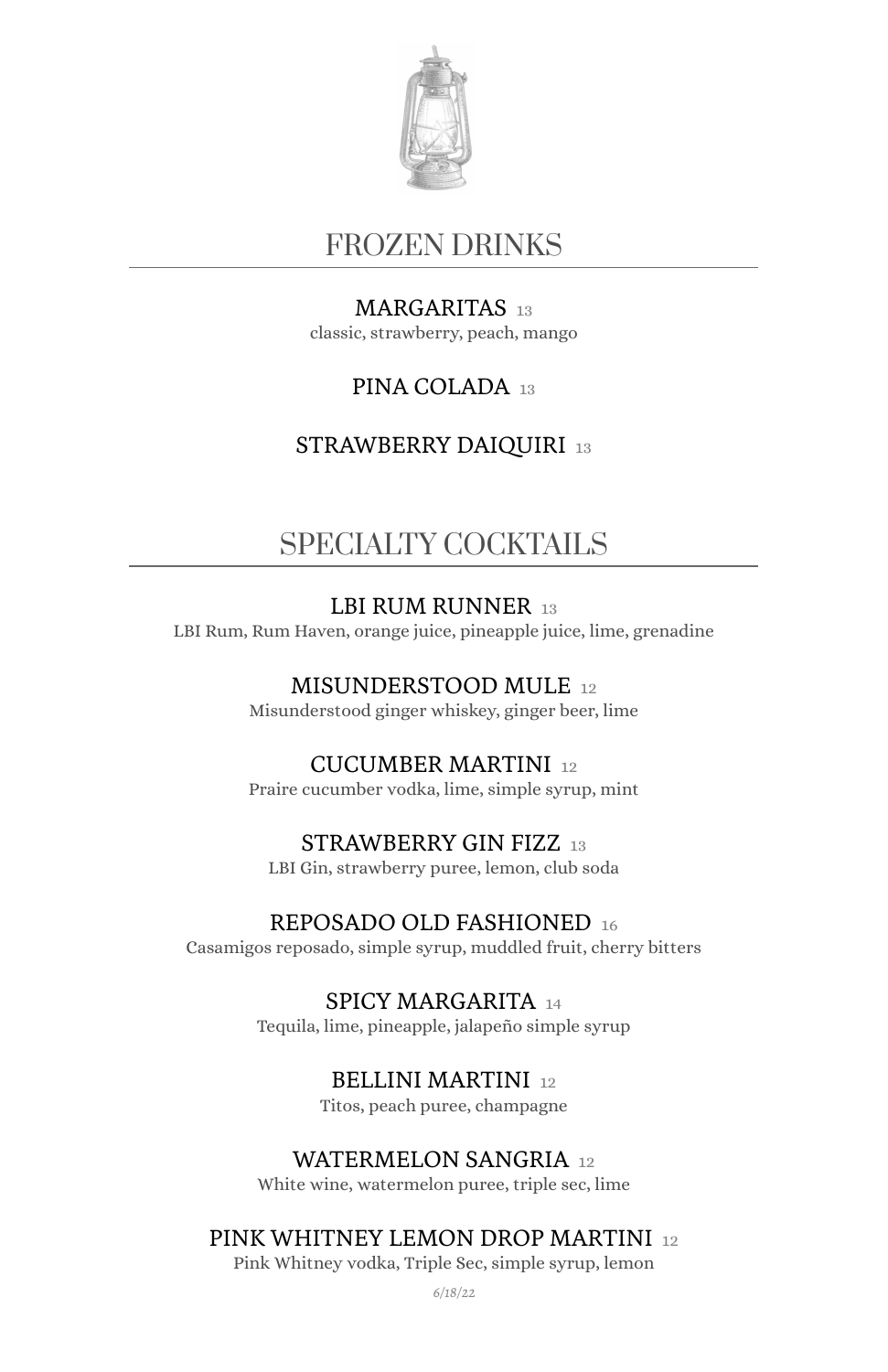

## FROZEN DRINKS

#### MARGARITAS 13

classic, strawberry, peach, mango

#### PINA COLADA 13

#### STRAWBERRY DAIQUIRI 13

# SPECIALTY COCKTAILS

#### LBI RUM RUNNER 13

LBI Rum, Rum Haven, orange juice, pineapple juice, lime, grenadine

#### MISUNDERSTOOD MULE 12

Misunderstood ginger whiskey, ginger beer, lime

#### CUCUMBER MARTINI 12

Praire cucumber vodka, lime, simple syrup, mint

#### STRAWBERRY GIN FIZZ 13

LBI Gin, strawberry puree, lemon, club soda

#### REPOSADO OLD FASHIONED 16

Casamigos reposado, simple syrup, muddled fruit, cherry bitters

SPICY MARGARITA 14 Tequila, lime, pineapple, jalapeño simple syrup

### BELLINI MARTINI 12

Titos, peach puree, champagne

#### WATERMELON SANGRIA 12

White wine, watermelon puree, triple sec, lime

#### PINK WHITNEY LEMON DROP MARTINI 12

Pink Whitney vodka, Triple Sec, simple syrup, lemon

*6/18/22*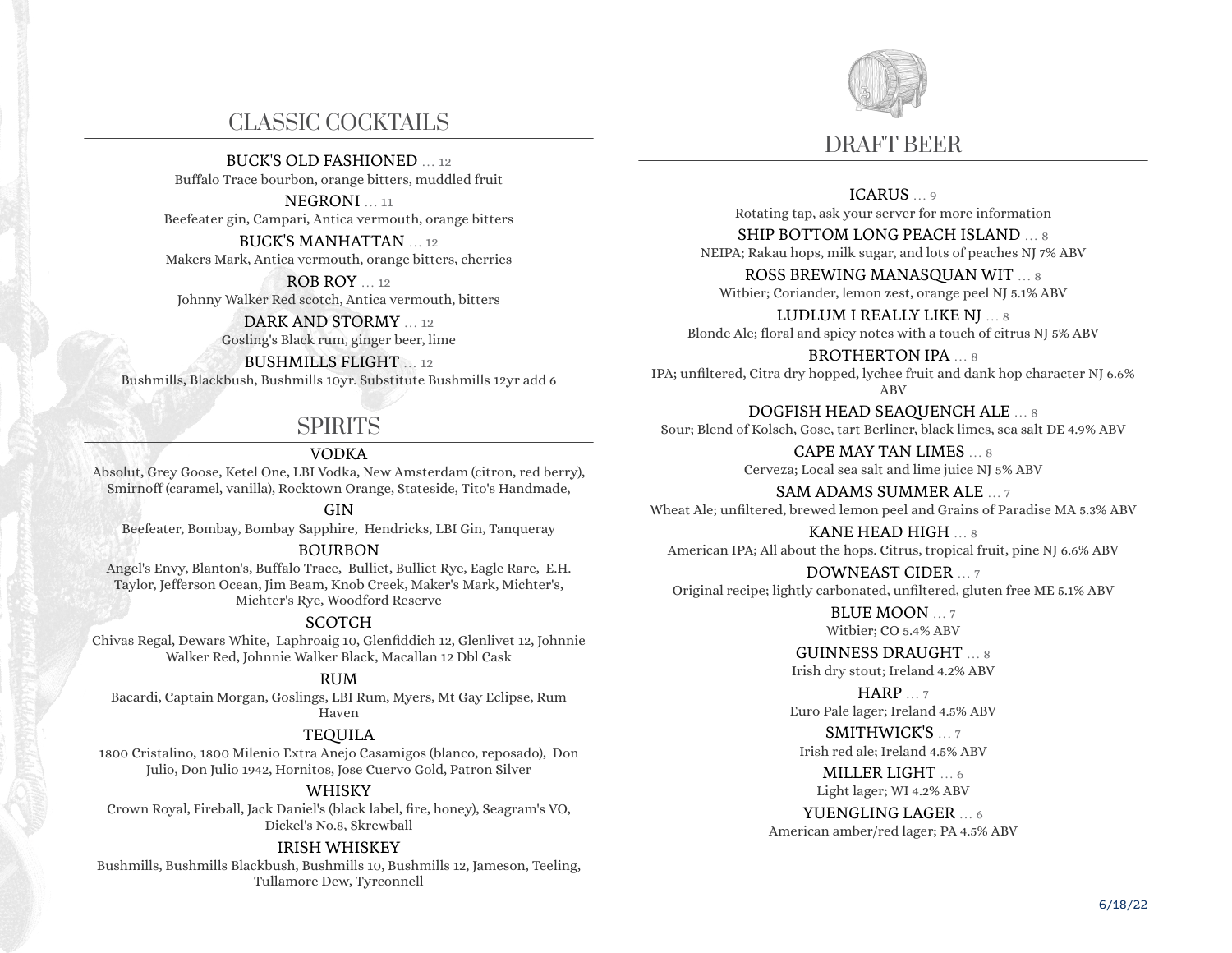# CLASSIC COCKTAILS

BUCK'S OLD FASHIONED 12

Buffalo Trace bourbon, orange bitters, muddled fruit

NEGRONI … 11 Beefeater gin, Campari, Antica vermouth, orange bitters

BUCK'S MANHATTAN … 12 Makers Mark, Antica vermouth, orange bitters, cherries

ROB ROY … 12 Johnny Walker Red scotch, Antica vermouth, bitters

> DARK AND STORMY … 12 Gosling's Black rum, ginger beer, lime

BUSHMILLS FLIGHT … 12 Bushmills, Blackbush, Bushmills 10yr. Substitute Bushmills 12yr add 6

# SPIRITS

### VODKA

Absolut, Grey Goose, Ketel One, LBI Vodka, New Amsterdam (citron, red berry), Smirnoff (caramel, vanilla), Rocktown Orange, Stateside, Tito's Handmade,

#### GIN

Beefeater, Bombay, Bombay Sapphire, Hendricks, LBI Gin, Tanqueray

#### BOURBON

Angel's Envy, Blanton's, Buffalo Trace, Bulliet, Bulliet Rye, Eagle Rare, E.H. Taylor, Jefferson Ocean, Jim Beam, Knob Creek, Maker's Mark, Michter's, Michter's Rye, Woodford Reserve

#### **SCOTCH**

Chivas Regal, Dewars White, Laphroaig 10, Glenfiddich 12, Glenlivet 12, Johnnie Walker Red, Johnnie Walker Black, Macallan 12 Dbl Cask

#### RUM

Bacardi, Captain Morgan, Goslings, LBI Rum, Myers, Mt Gay Eclipse, Rum Haven

#### TEQUILA

1800 Cristalino, 1800 Milenio Extra Anejo Casamigos (blanco, reposado), Don Julio, Don Julio 1942, Hornitos, Jose Cuervo Gold, Patron Silver

#### WHISKY

Crown Royal, Fireball, Jack Daniel's (black label, fire, honey), Seagram's VO, Dickel's No.8, Skrewball

#### IRISH WHISKEY

Bushmills, Bushmills Blackbush, Bushmills 10, Bushmills 12, Jameson, Teeling, Tullamore Dew, Tyrconnell



ICARUS … 9 Rotating tap, ask your server for more information

SHIP BOTTOM LONG PEACH ISLAND … 8 NEIPA; Rakau hops, milk sugar, and lots of peaches NJ 7% ABV

ROSS BREWING MANASQUAN WIT … 8 Witbier; Coriander, lemon zest, orange peel NJ 5.1% ABV

LUDLUM I REALLY LIKE NJ … 8 Blonde Ale; floral and spicy notes with a touch of citrus NJ 5% ABV

BROTHERTON IPA ... 8 IPA; unfiltered, Citra dry hopped, lychee fruit and dank hop character NJ 6.6% ABV

DOGFISH HEAD SEAQUENCH ALE … 8 Sour; Blend of Kolsch, Gose, tart Berliner, black limes, sea salt DE 4.9% ABV

> CAPE MAY TAN LIMES … 8 Cerveza; Local sea salt and lime juice NJ 5% ABV

SAM ADAMS SUMMER ALE … 7 Wheat Ale; unfiltered, brewed lemon peel and Grains of Paradise MA 5.3% ABV

KANE HEAD HIGH … 8 American IPA; All about the hops. Citrus, tropical fruit, pine NJ 6.6% ABV

DOWNEAST CIDER … 7 Original recipe; lightly carbonated, unfiltered, gluten free ME 5.1% ABV

> BLUE MOON … 7 Witbier; CO 5.4% ABV

GUINNESS DRAUGHT … 8 Irish dry stout; Ireland 4.2% ABV

HARP … 7 Euro Pale lager; Ireland 4.5% ABV

SMITHWICK'S … 7 Irish red ale; Ireland 4.5% ABV

> MILLER LIGHT … 6 Light lager; WI 4.2% ABV

YUENGLING LAGER … 6 American amber/red lager; PA 4.5% ABV